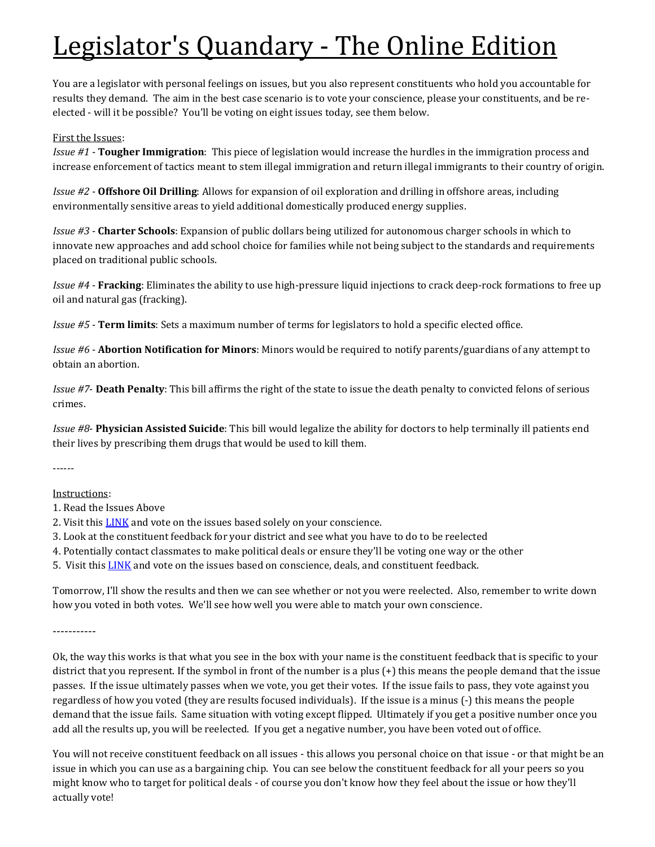## Legislator's Quandary - The Online Edition

You are a legislator with personal feelings on issues, but you also represent constituents who hold you accountable for results they demand. The aim in the best case scenario is to vote your conscience, please your constituents, and be reelected - will it be possible? You'll be voting on eight issues today, see them below.

## First the Issues:

*Issue #1* - **Tougher Immigration**: This piece of legislation would increase the hurdles in the immigration process and increase enforcement of tactics meant to stem illegal immigration and return illegal immigrants to their country of origin.

*Issue #2* - **Offshore Oil Drilling**: Allows for expansion of oil exploration and drilling in offshore areas, including environmentally sensitive areas to yield additional domestically produced energy supplies.

*Issue #3* - **Charter Schools**: Expansion of public dollars being utilized for autonomous charger schools in which to innovate new approaches and add school choice for families while not being subject to the standards and requirements placed on traditional public schools.

*Issue #4* - **Fracking**: Eliminates the ability to use high-pressure liquid injections to crack deep-rock formations to free up oil and natural gas (fracking).

*Issue #5* - **Term limits**: Sets a maximum number of terms for legislators to hold a specific elected office.

*Issue #6* - **Abortion Notification for Minors**: Minors would be required to notify parents/guardians of any attempt to obtain an abortion.

*Issue #7*- **Death Penalty**: This bill affirms the right of the state to issue the death penalty to convicted felons of serious crimes.

*Issue #8*- **Physician Assisted Suicide**: This bill would legalize the ability for doctors to help terminally ill patients end their lives by prescribing them drugs that would be used to kill them.

------

## Instructions:

- 1. Read the Issues Above
- 2. Visit this **LINK** and vote on the issues based solely on your conscience.
- 3. Look at the constituent feedback for your district and see what you have to do to be reelected
- 4. Potentially contact classmates to make political deals or ensure they'll be voting one way or the other
- 5. Visit this [LINK](https://docs.google.com/forms/d/e/1FAIpQLSf6WxGCTKwmka8W4axM8YLVmdZYkKOnaxUdVmi2roQr2pGQyA/viewform) and vote on the issues based on conscience, deals, and constituent feedback.

Tomorrow, I'll show the results and then we can see whether or not you were reelected. Also, remember to write down how you voted in both votes. We'll see how well you were able to match your own conscience.

-----------

Ok, the way this works is that what you see in the box with your name is the constituent feedback that is specific to your district that you represent. If the symbol in front of the number is a plus (+) this means the people demand that the issue passes. If the issue ultimately passes when we vote, you get their votes. If the issue fails to pass, they vote against you regardless of how you voted (they are results focused individuals). If the issue is a minus (-) this means the people demand that the issue fails. Same situation with voting except flipped. Ultimately if you get a positive number once you add all the results up, you will be reelected. If you get a negative number, you have been voted out of office.

You will not receive constituent feedback on all issues - this allows you personal choice on that issue - or that might be an issue in which you can use as a bargaining chip. You can see below the constituent feedback for all your peers so you might know who to target for political deals - of course you don't know how they feel about the issue or how they'll actually vote!